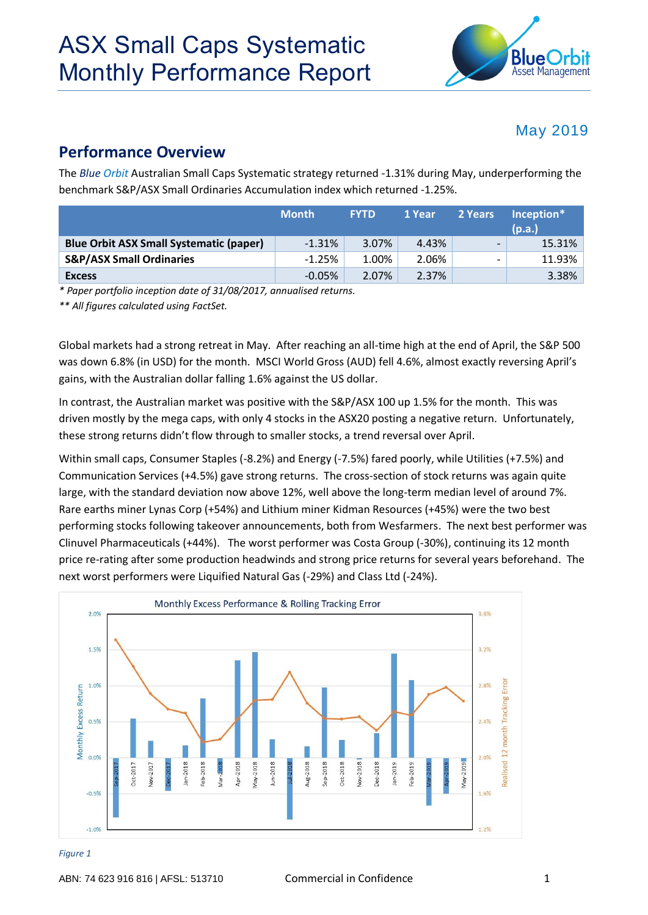

### May 2019

### **Performance Overview**

The *Blue Orbit* Australian Small Caps Systematic strategy returned -1.31% during May, underperforming the benchmark S&P/ASX Small Ordinaries Accumulation index which returned -1.25%.

|                                                | <b>Month</b> | <b>FYTD</b> | 1 Year | 2 Years                  | Inception*<br>(p.a.) |
|------------------------------------------------|--------------|-------------|--------|--------------------------|----------------------|
| <b>Blue Orbit ASX Small Systematic (paper)</b> | $-1.31%$     | 3.07%       | 4.43%  | $\overline{\phantom{0}}$ | 15.31%               |
| <b>S&amp;P/ASX Small Ordinaries</b>            | $-1.25%$     | 1.00%       | 2.06%  | $\overline{\phantom{0}}$ | 11.93%               |
| <b>Excess</b>                                  | $-0.05%$     | 2.07%       | 2.37%  |                          | 3.38%                |

*\* Paper portfolio inception date of 31/08/2017, annualised returns.* 

*\*\* All figures calculated using FactSet.*

Global markets had a strong retreat in May. After reaching an all-time high at the end of April, the S&P 500 was down 6.8% (in USD) for the month. MSCI World Gross (AUD) fell 4.6%, almost exactly reversing April's gains, with the Australian dollar falling 1.6% against the US dollar.

In contrast, the Australian market was positive with the S&P/ASX 100 up 1.5% for the month. This was driven mostly by the mega caps, with only 4 stocks in the ASX20 posting a negative return. Unfortunately, these strong returns didn't flow through to smaller stocks, a trend reversal over April.

Within small caps, Consumer Staples (-8.2%) and Energy (-7.5%) fared poorly, while Utilities (+7.5%) and Communication Services (+4.5%) gave strong returns. The cross-section of stock returns was again quite large, with the standard deviation now above 12%, well above the long-term median level of around 7%. Rare earths miner Lynas Corp (+54%) and Lithium miner Kidman Resources (+45%) were the two best performing stocks following takeover announcements, both from Wesfarmers. The next best performer was Clinuvel Pharmaceuticals (+44%). The worst performer was Costa Group (-30%), continuing its 12 month price re-rating after some production headwinds and strong price returns for several years beforehand. The next worst performers were Liquified Natural Gas (-29%) and Class Ltd (-24%).



#### *Figure 1*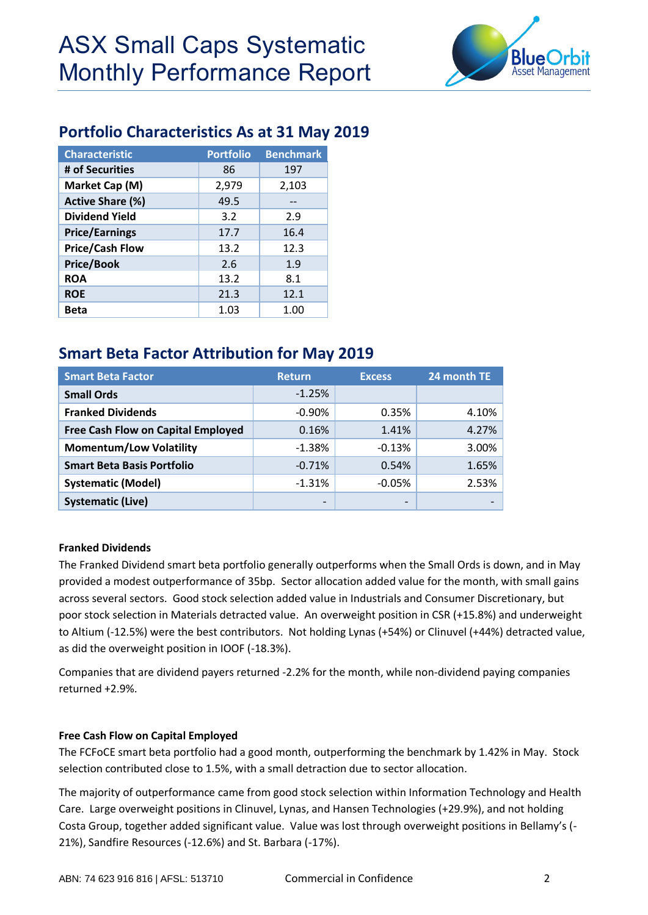

## **Portfolio Characteristics As at 31 May 2019**

| <b>Characteristic</b>   | <b>Portfolio</b> | <b>Benchmark</b> |
|-------------------------|------------------|------------------|
| # of Securities         | 86               | 197              |
| Market Cap (M)          | 2,979            | 2,103            |
| <b>Active Share (%)</b> | 49.5             |                  |
| <b>Dividend Yield</b>   | 3.2              | 2.9              |
| <b>Price/Earnings</b>   | 17.7             | 16.4             |
| <b>Price/Cash Flow</b>  | 13.2             | 12.3             |
| <b>Price/Book</b>       | 2.6              | 1.9              |
| <b>ROA</b>              | 13.2             | 8.1              |
| <b>ROE</b>              | 21.3             | 12.1             |
| Beta                    | 1.03             | 1.00             |

# **Smart Beta Factor Attribution for May 2019**

| <b>Smart Beta Factor</b>                  | <b>Return</b> | <b>Excess</b>   | 24 month TE |  |
|-------------------------------------------|---------------|-----------------|-------------|--|
| <b>Small Ords</b>                         | $-1.25%$      |                 |             |  |
| <b>Franked Dividends</b>                  | $-0.90\%$     | 0.35%           | 4.10%       |  |
| <b>Free Cash Flow on Capital Employed</b> | 0.16%         | 1.41%           | 4.27%       |  |
| <b>Momentum/Low Volatility</b>            | $-1.38%$      | $-0.13%$        | 3.00%       |  |
| <b>Smart Beta Basis Portfolio</b>         | $-0.71%$      | 0.54%           | 1.65%       |  |
| <b>Systematic (Model)</b>                 | $-1.31%$      | $-0.05%$        | 2.53%       |  |
| <b>Systematic (Live)</b>                  |               | $\qquad \qquad$ |             |  |

### **Franked Dividends**

The Franked Dividend smart beta portfolio generally outperforms when the Small Ords is down, and in May provided a modest outperformance of 35bp. Sector allocation added value for the month, with small gains across several sectors. Good stock selection added value in Industrials and Consumer Discretionary, but poor stock selection in Materials detracted value. An overweight position in CSR (+15.8%) and underweight to Altium (-12.5%) were the best contributors. Not holding Lynas (+54%) or Clinuvel (+44%) detracted value, as did the overweight position in IOOF (-18.3%).

Companies that are dividend payers returned -2.2% for the month, while non-dividend paying companies returned +2.9%.

### **Free Cash Flow on Capital Employed**

The FCFoCE smart beta portfolio had a good month, outperforming the benchmark by 1.42% in May. Stock selection contributed close to 1.5%, with a small detraction due to sector allocation.

The majority of outperformance came from good stock selection within Information Technology and Health Care. Large overweight positions in Clinuvel, Lynas, and Hansen Technologies (+29.9%), and not holding Costa Group, together added significant value. Value was lost through overweight positions in Bellamy's (- 21%), Sandfire Resources (-12.6%) and St. Barbara (-17%).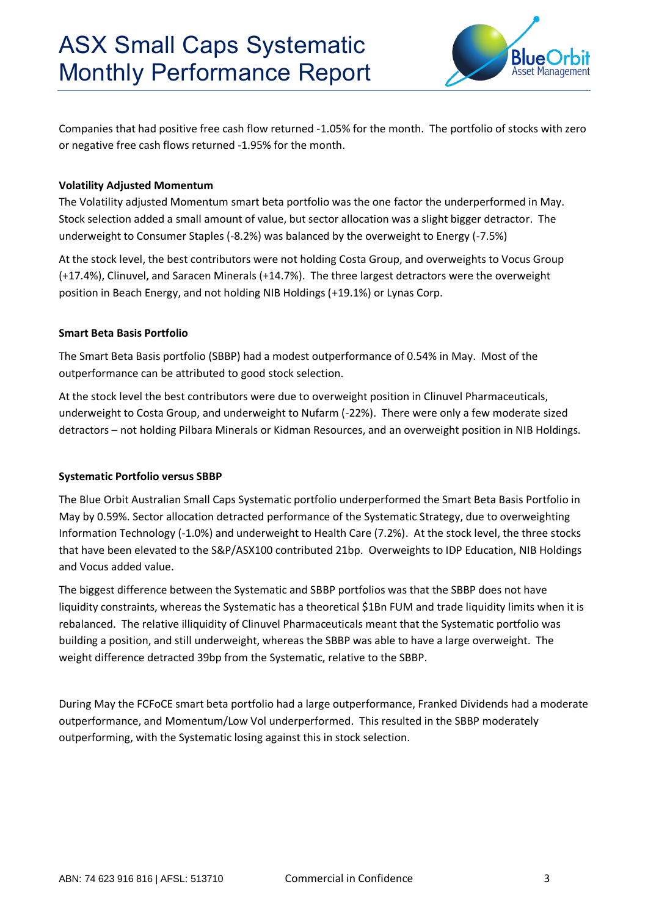

Companies that had positive free cash flow returned -1.05% for the month. The portfolio of stocks with zero or negative free cash flows returned -1.95% for the month.

### **Volatility Adjusted Momentum**

The Volatility adjusted Momentum smart beta portfolio was the one factor the underperformed in May. Stock selection added a small amount of value, but sector allocation was a slight bigger detractor. The underweight to Consumer Staples (-8.2%) was balanced by the overweight to Energy (-7.5%)

At the stock level, the best contributors were not holding Costa Group, and overweights to Vocus Group (+17.4%), Clinuvel, and Saracen Minerals (+14.7%). The three largest detractors were the overweight position in Beach Energy, and not holding NIB Holdings (+19.1%) or Lynas Corp.

#### **Smart Beta Basis Portfolio**

The Smart Beta Basis portfolio (SBBP) had a modest outperformance of 0.54% in May. Most of the outperformance can be attributed to good stock selection.

At the stock level the best contributors were due to overweight position in Clinuvel Pharmaceuticals, underweight to Costa Group, and underweight to Nufarm (-22%). There were only a few moderate sized detractors – not holding Pilbara Minerals or Kidman Resources, and an overweight position in NIB Holdings.

#### **Systematic Portfolio versus SBBP**

The Blue Orbit Australian Small Caps Systematic portfolio underperformed the Smart Beta Basis Portfolio in May by 0.59%. Sector allocation detracted performance of the Systematic Strategy, due to overweighting Information Technology (-1.0%) and underweight to Health Care (7.2%). At the stock level, the three stocks that have been elevated to the S&P/ASX100 contributed 21bp. Overweights to IDP Education, NIB Holdings and Vocus added value.

The biggest difference between the Systematic and SBBP portfolios was that the SBBP does not have liquidity constraints, whereas the Systematic has a theoretical \$1Bn FUM and trade liquidity limits when it is rebalanced. The relative illiquidity of Clinuvel Pharmaceuticals meant that the Systematic portfolio was building a position, and still underweight, whereas the SBBP was able to have a large overweight. The weight difference detracted 39bp from the Systematic, relative to the SBBP.

During May the FCFoCE smart beta portfolio had a large outperformance, Franked Dividends had a moderate outperformance, and Momentum/Low Vol underperformed. This resulted in the SBBP moderately outperforming, with the Systematic losing against this in stock selection.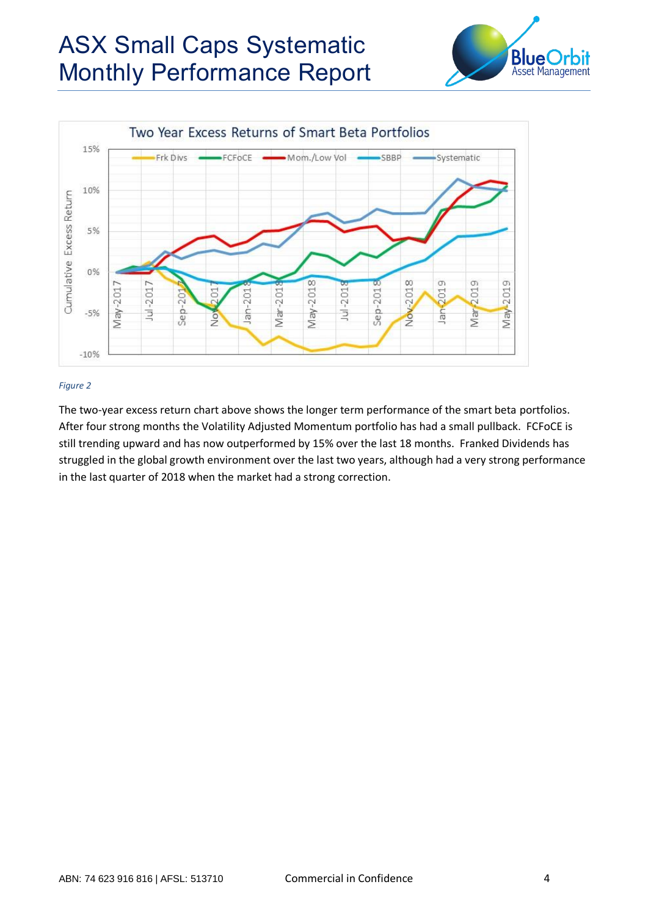# ASX Small Caps Systematic Monthly Performance Report





#### *Figure 2*

The two-year excess return chart above shows the longer term performance of the smart beta portfolios. After four strong months the Volatility Adjusted Momentum portfolio has had a small pullback. FCFoCE is still trending upward and has now outperformed by 15% over the last 18 months. Franked Dividends has struggled in the global growth environment over the last two years, although had a very strong performance in the last quarter of 2018 when the market had a strong correction.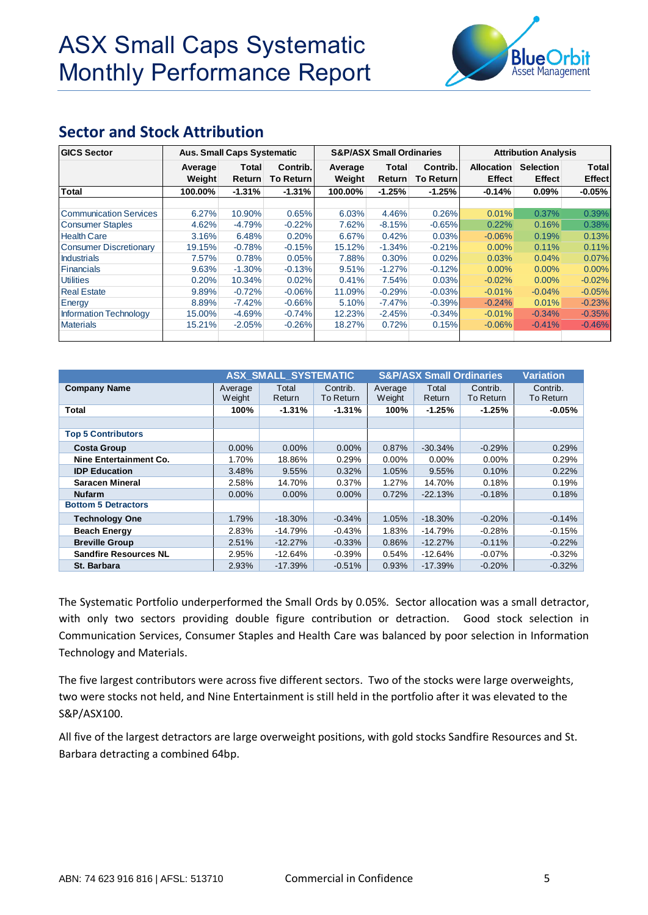

## **Sector and Stock Attribution**

| <b>GICS Sector</b>            | <b>Aus. Small Caps Systematic</b> |               |                  |         | <b>S&amp;P/ASX Small Ordinaries</b> |                  |                   | <b>Attribution Analysis</b> |               |  |
|-------------------------------|-----------------------------------|---------------|------------------|---------|-------------------------------------|------------------|-------------------|-----------------------------|---------------|--|
|                               | Average                           | Total         | Contrib.         | Average | Contrib.<br>Total                   |                  | <b>Allocation</b> | <b>Selection</b>            | Total         |  |
|                               | Weight                            | <b>Return</b> | <b>To Return</b> | Weight  | <b>Return</b>                       | <b>To Return</b> | <b>Effect</b>     | <b>Effect</b>               | <b>Effect</b> |  |
| <b>Total</b>                  | 100.00%                           | $-1.31\%$     | $-1.31%$         | 100.00% | $-1.25%$                            | $-1.25%$         | $-0.14%$          | $0.09\%$                    | $-0.05%$      |  |
|                               |                                   |               |                  |         |                                     |                  |                   |                             |               |  |
| Communication Services        | 6.27%                             | 10.90%        | 0.65%            | 6.03%   | 4.46%                               | 0.26%            | 0.01%             | 0.37%                       | 0.39%         |  |
| <b>Consumer Staples</b>       | 4.62%                             | $-4.79%$      | $-0.22%$         | 7.62%   | $-8.15%$                            | $-0.65%$         | 0.22%             | 0.16%                       | 0.38%         |  |
| <b>Health Care</b>            | 3.16%                             | 6.48%         | 0.20%            | 6.67%   | 0.42%                               | 0.03%            | $-0.06%$          | 0.19%                       | 0.13%         |  |
| <b>Consumer Discretionary</b> | 19.15%                            | $-0.78%$      | $-0.15%$         | 15.12%  | $-1.34%$                            | $-0.21%$         | $0.00\%$          | 0.11%                       | 0.11%         |  |
| <b>Industrials</b>            | 7.57%                             | 0.78%         | 0.05%            | 7.88%   | 0.30%                               | 0.02%            | 0.03%             | 0.04%                       | 0.07%         |  |
| <b>Financials</b>             | 9.63%                             | $-1.30%$      | $-0.13%$         | 9.51%   | $-1.27%$                            | $-0.12%$         | $0.00\%$          | $0.00\%$                    | $0.00\%$      |  |
| <b>Utilities</b>              | 0.20%                             | 10.34%        | 0.02%            | 0.41%   | 7.54%                               | 0.03%            | $-0.02%$          | $0.00\%$                    | $-0.02%$      |  |
| <b>Real Estate</b>            | 9.89%                             | $-0.72%$      | $-0.06%$         | 11.09%  | $-0.29%$                            | $-0.03%$         | $-0.01%$          | $-0.04%$                    | $-0.05%$      |  |
| Energy                        | 8.89%                             | $-7.42%$      | $-0.66%$         | 5.10%   | $-7.47%$                            | $-0.39%$         | $-0.24%$          | 0.01%                       | $-0.23%$      |  |
| <b>Information Technology</b> | 15.00%                            | $-4.69%$      | $-0.74%$         | 12.23%  | $-2.45%$                            | $-0.34%$         | $-0.01%$          | $-0.34%$                    | $-0.35%$      |  |
| <b>Materials</b>              | 15.21%                            | $-2.05%$      | $-0.26%$         | 18.27%  | 0.72%                               | 0.15%            | $-0.06%$          | $-0.41%$                    | $-0.46%$      |  |
|                               |                                   |               |                  |         |                                     |                  |                   |                             |               |  |

|                              |                   | <b>ASX SMALL SYSTEMATIC</b> |                       | <b>S&amp;P/ASX Small Ordinaries</b> |                 |                       | <b>Variation</b>      |
|------------------------------|-------------------|-----------------------------|-----------------------|-------------------------------------|-----------------|-----------------------|-----------------------|
| <b>Company Name</b>          | Average<br>Weight | Total<br>Return             | Contrib.<br>To Return | Average<br>Weight                   | Total<br>Return | Contrib.<br>To Return | Contrib.<br>To Return |
| Total                        | 100%              | $-1.31%$                    | $-1.31%$              | 100%                                | $-1.25%$        | $-1.25%$              | $-0.05\%$             |
|                              |                   |                             |                       |                                     |                 |                       |                       |
| <b>Top 5 Contributors</b>    |                   |                             |                       |                                     |                 |                       |                       |
| <b>Costa Group</b>           | $0.00\%$          | $0.00\%$                    | 0.00%                 | 0.87%                               | $-30.34%$       | $-0.29%$              | 0.29%                 |
| Nine Entertainment Co.       | 1.70%             | 18.86%                      | 0.29%                 | $0.00\%$                            | $0.00\%$        | $0.00\%$              | 0.29%                 |
| <b>IDP Education</b>         | 3.48%             | 9.55%                       | 0.32%                 | 1.05%                               | 9.55%           | 0.10%                 | 0.22%                 |
| <b>Saracen Mineral</b>       | 2.58%             | 14.70%                      | 0.37%                 | 1.27%                               | 14.70%          | 0.18%                 | 0.19%                 |
| <b>Nufarm</b>                | $0.00\%$          | $0.00\%$                    | 0.00%                 | 0.72%                               | $-22.13%$       | $-0.18%$              | 0.18%                 |
| <b>Bottom 5 Detractors</b>   |                   |                             |                       |                                     |                 |                       |                       |
| <b>Technology One</b>        | 1.79%             | $-18.30%$                   | $-0.34%$              | 1.05%                               | $-18.30%$       | $-0.20%$              | $-0.14%$              |
| <b>Beach Energy</b>          | 2.83%             | $-14.79%$                   | $-0.43%$              | 1.83%                               | $-14.79%$       | $-0.28%$              | $-0.15%$              |
| <b>Breville Group</b>        | 2.51%             | $-12.27%$                   | $-0.33%$              | 0.86%                               | $-12.27%$       | $-0.11%$              | $-0.22%$              |
| <b>Sandfire Resources NL</b> | 2.95%             | $-12.64%$                   | $-0.39%$              | 0.54%                               | $-12.64%$       | $-0.07\%$             | $-0.32%$              |
| St. Barbara                  | 2.93%             | $-17.39%$                   | $-0.51%$              | 0.93%                               | $-17.39%$       | $-0.20%$              | $-0.32%$              |

The Systematic Portfolio underperformed the Small Ords by 0.05%. Sector allocation was a small detractor, with only two sectors providing double figure contribution or detraction. Good stock selection in Communication Services, Consumer Staples and Health Care was balanced by poor selection in Information Technology and Materials.

The five largest contributors were across five different sectors. Two of the stocks were large overweights, two were stocks not held, and Nine Entertainment is still held in the portfolio after it was elevated to the S&P/ASX100.

All five of the largest detractors are large overweight positions, with gold stocks Sandfire Resources and St. Barbara detracting a combined 64bp.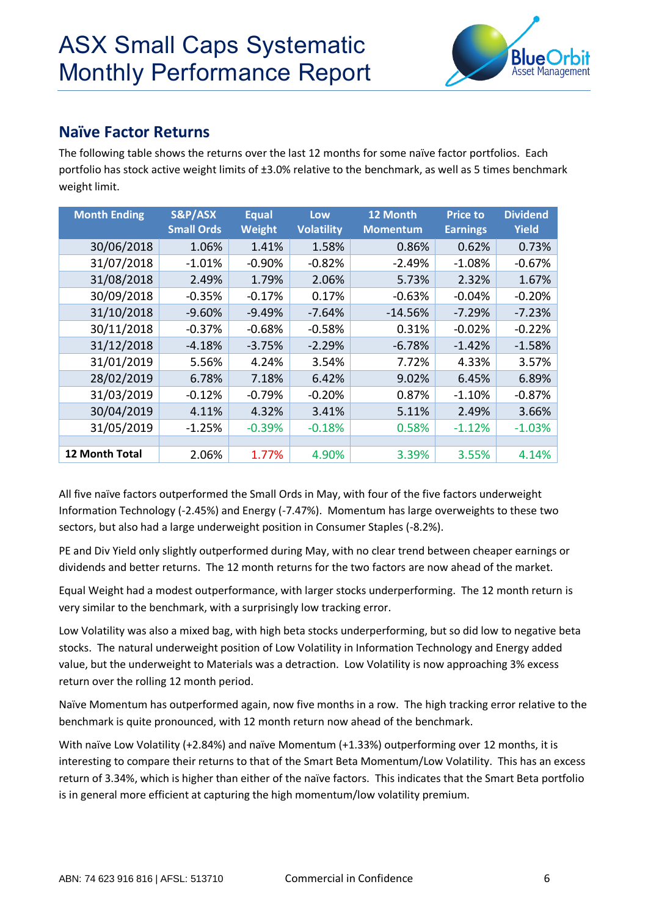

### **Naïve Factor Returns**

The following table shows the returns over the last 12 months for some naïve factor portfolios. Each portfolio has stock active weight limits of ±3.0% relative to the benchmark, as well as 5 times benchmark weight limit.

| <b>Month Ending</b>   | S&P/ASX<br><b>Small Ords</b> | <b>Equal</b><br>Weight | Low<br><b>Volatility</b> | 12 Month<br><b>Momentum</b> | <b>Price to</b><br><b>Earnings</b> | <b>Dividend</b><br><b>Yield</b> |
|-----------------------|------------------------------|------------------------|--------------------------|-----------------------------|------------------------------------|---------------------------------|
| 30/06/2018            | 1.06%                        | 1.41%                  | 1.58%                    | 0.86%                       | 0.62%                              | 0.73%                           |
| 31/07/2018            | $-1.01%$                     | $-0.90%$               | $-0.82%$                 | $-2.49%$                    | $-1.08%$                           | $-0.67%$                        |
| 31/08/2018            | 2.49%                        | 1.79%                  | 2.06%                    | 5.73%                       | 2.32%                              | 1.67%                           |
| 30/09/2018            | $-0.35%$                     | $-0.17%$               | 0.17%                    | $-0.63%$                    | $-0.04%$                           | $-0.20%$                        |
| 31/10/2018            | $-9.60%$                     | $-9.49%$               | $-7.64%$                 | $-14.56%$                   | $-7.29%$                           | $-7.23%$                        |
| 30/11/2018            | $-0.37%$                     | $-0.68%$               | $-0.58%$                 | 0.31%                       | $-0.02%$                           | $-0.22%$                        |
| 31/12/2018            | -4.18%                       | $-3.75%$               | $-2.29%$                 | $-6.78%$                    | $-1.42%$                           | $-1.58%$                        |
| 31/01/2019            | 5.56%                        | 4.24%                  | 3.54%                    | 7.72%                       | 4.33%                              | 3.57%                           |
| 28/02/2019            | 6.78%                        | 7.18%                  | 6.42%                    | 9.02%                       | 6.45%                              | 6.89%                           |
| 31/03/2019            | $-0.12%$                     | $-0.79%$               | $-0.20%$                 | 0.87%                       | $-1.10%$                           | $-0.87%$                        |
| 30/04/2019            | 4.11%                        | 4.32%                  | 3.41%                    | 5.11%                       | 2.49%                              | 3.66%                           |
| 31/05/2019            | $-1.25%$                     | $-0.39%$               | $-0.18%$                 | 0.58%                       | $-1.12%$                           | $-1.03\%$                       |
|                       |                              |                        |                          |                             |                                    |                                 |
| <b>12 Month Total</b> | 2.06%                        | 1.77%                  | 4.90%                    | 3.39%                       | 3.55%                              | 4.14%                           |

All five naïve factors outperformed the Small Ords in May, with four of the five factors underweight Information Technology (-2.45%) and Energy (-7.47%). Momentum has large overweights to these two sectors, but also had a large underweight position in Consumer Staples (-8.2%).

PE and Div Yield only slightly outperformed during May, with no clear trend between cheaper earnings or dividends and better returns. The 12 month returns for the two factors are now ahead of the market.

Equal Weight had a modest outperformance, with larger stocks underperforming. The 12 month return is very similar to the benchmark, with a surprisingly low tracking error.

Low Volatility was also a mixed bag, with high beta stocks underperforming, but so did low to negative beta stocks. The natural underweight position of Low Volatility in Information Technology and Energy added value, but the underweight to Materials was a detraction. Low Volatility is now approaching 3% excess return over the rolling 12 month period.

Naïve Momentum has outperformed again, now five months in a row. The high tracking error relative to the benchmark is quite pronounced, with 12 month return now ahead of the benchmark.

With naïve Low Volatility (+2.84%) and naïve Momentum (+1.33%) outperforming over 12 months, it is interesting to compare their returns to that of the Smart Beta Momentum/Low Volatility. This has an excess return of 3.34%, which is higher than either of the naïve factors. This indicates that the Smart Beta portfolio is in general more efficient at capturing the high momentum/low volatility premium.